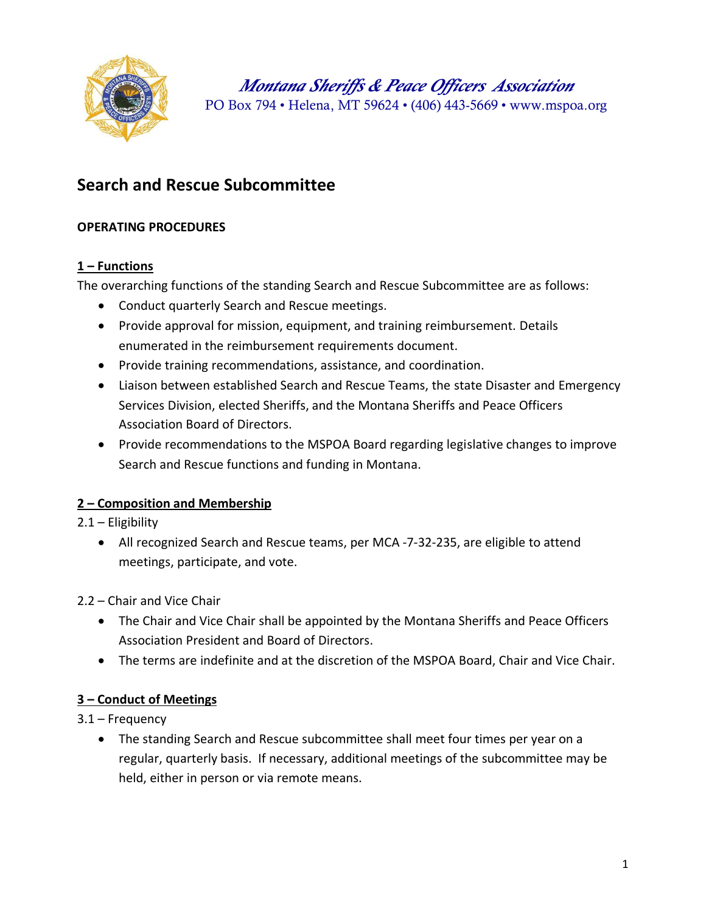

*Montana Sheriffs & Peace Officers Association* PO Box 794 • Helena, MT 59624 • (406) 443-5669 • [www.mspoa.org](http://www.mspoa.org/)

# **Search and Rescue Subcommittee**

### **OPERATING PROCEDURES**

### **1 – Functions**

The overarching functions of the standing Search and Rescue Subcommittee are as follows:

- Conduct quarterly Search and Rescue meetings.
- Provide approval for mission, equipment, and training reimbursement. Details enumerated in the reimbursement requirements document.
- Provide training recommendations, assistance, and coordination.
- Liaison between established Search and Rescue Teams, the state Disaster and Emergency Services Division, elected Sheriffs, and the Montana Sheriffs and Peace Officers Association Board of Directors.
- Provide recommendations to the MSPOA Board regarding legislative changes to improve Search and Rescue functions and funding in Montana.

## **2 – Composition and Membership**

- 2.1 Eligibility
	- All recognized Search and Rescue teams, per MCA -7-32-235, are eligible to attend meetings, participate, and vote.
- 2.2 Chair and Vice Chair
	- The Chair and Vice Chair shall be appointed by the Montana Sheriffs and Peace Officers Association President and Board of Directors.
	- The terms are indefinite and at the discretion of the MSPOA Board, Chair and Vice Chair.

### **3 – Conduct of Meetings**

- 3.1 Frequency
	- The standing Search and Rescue subcommittee shall meet four times per year on a regular, quarterly basis. If necessary, additional meetings of the subcommittee may be held, either in person or via remote means.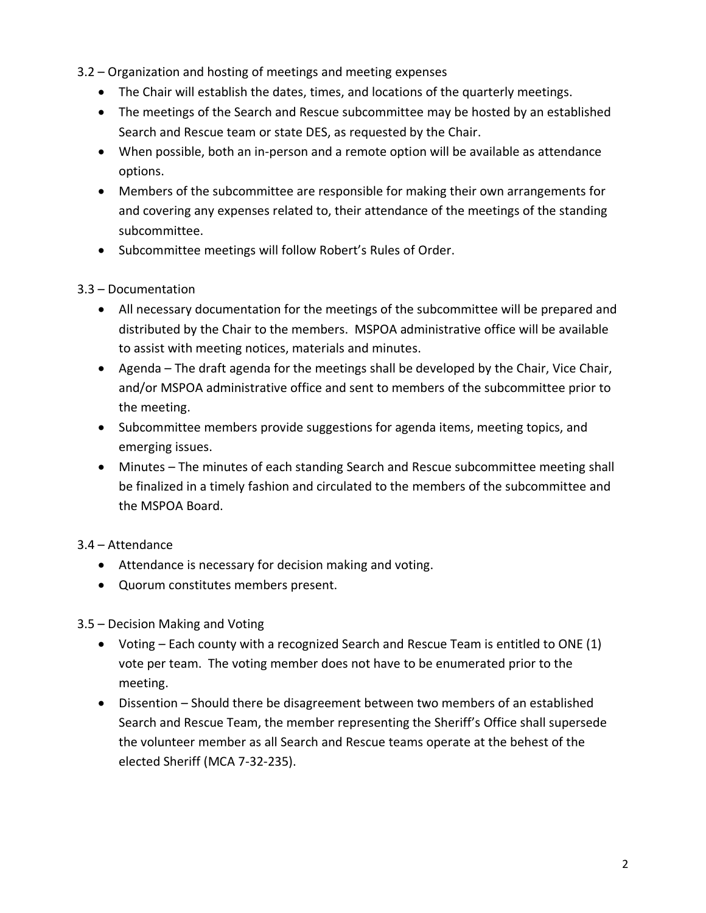3.2 – Organization and hosting of meetings and meeting expenses

- The Chair will establish the dates, times, and locations of the quarterly meetings.
- The meetings of the Search and Rescue subcommittee may be hosted by an established Search and Rescue team or state DES, as requested by the Chair.
- When possible, both an in-person and a remote option will be available as attendance options.
- Members of the subcommittee are responsible for making their own arrangements for and covering any expenses related to, their attendance of the meetings of the standing subcommittee.
- Subcommittee meetings will follow Robert's Rules of Order.

### 3.3 – Documentation

- All necessary documentation for the meetings of the subcommittee will be prepared and distributed by the Chair to the members. MSPOA administrative office will be available to assist with meeting notices, materials and minutes.
- Agenda The draft agenda for the meetings shall be developed by the Chair, Vice Chair, and/or MSPOA administrative office and sent to members of the subcommittee prior to the meeting.
- Subcommittee members provide suggestions for agenda items, meeting topics, and emerging issues.
- Minutes The minutes of each standing Search and Rescue subcommittee meeting shall be finalized in a timely fashion and circulated to the members of the subcommittee and the MSPOA Board.

## 3.4 – Attendance

- Attendance is necessary for decision making and voting.
- Quorum constitutes members present.

3.5 – Decision Making and Voting

- Voting Each county with a recognized Search and Rescue Team is entitled to ONE (1) vote per team. The voting member does not have to be enumerated prior to the meeting.
- Dissention Should there be disagreement between two members of an established Search and Rescue Team, the member representing the Sheriff's Office shall supersede the volunteer member as all Search and Rescue teams operate at the behest of the elected Sheriff (MCA 7-32-235).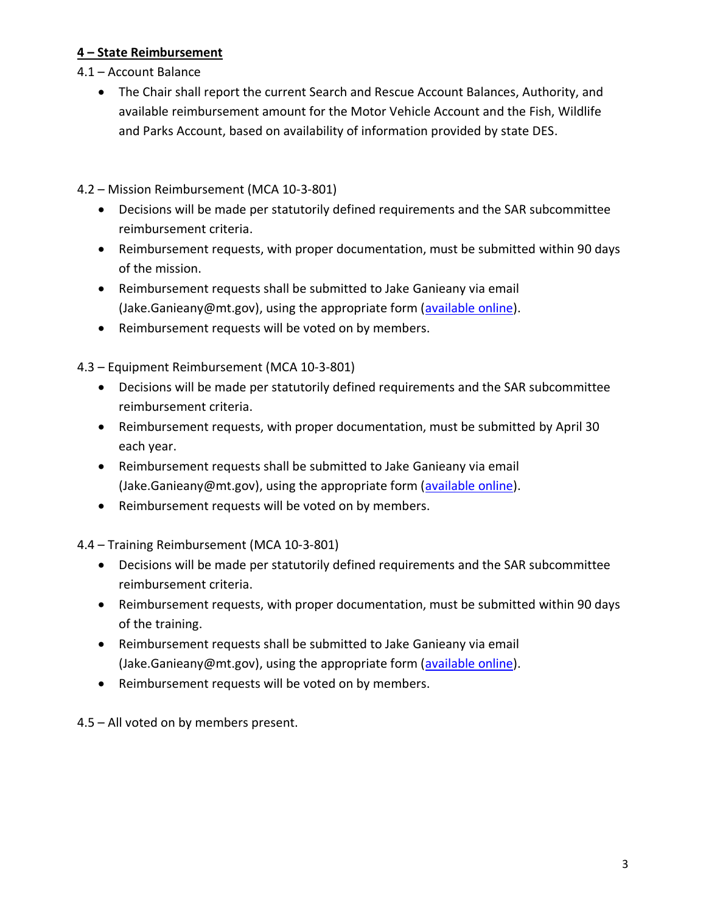### **4 – State Reimbursement**

- 4.1 Account Balance
	- The Chair shall report the current Search and Rescue Account Balances, Authority, and available reimbursement amount for the Motor Vehicle Account and the Fish, Wildlife and Parks Account, based on availability of information provided by state DES.

4.2 – Mission Reimbursement (MCA 10-3-801)

- Decisions will be made per statutorily defined requirements and the SAR subcommittee reimbursement criteria.
- Reimbursement requests, with proper documentation, must be submitted within 90 days of the mission.
- Reimbursement requests shall be submitted to Jake Ganieany via email (Jake.Ganieany@mt.gov), using the appropriate form [\(available online\)](https://des.mt.gov/Response/Search-And-Rescue-Documents/SAR-Mission-Reimbursement-Form-7_1_-2021.pdf).
- Reimbursement requests will be voted on by members.

4.3 – Equipment Reimbursement (MCA 10-3-801)

- Decisions will be made per statutorily defined requirements and the SAR subcommittee reimbursement criteria.
- Reimbursement requests, with proper documentation, must be submitted by April 30 each year.
- Reimbursement requests shall be submitted to Jake Ganieany via email (Jake.Ganieany@mt.gov), using the appropriate form [\(available online\)](https://des.mt.gov/Response/Search-And-Rescue-Documents/SAR-Equipment-Reimbursement-Form-7_1_2021.pdf).
- Reimbursement requests will be voted on by members.

4.4 – Training Reimbursement (MCA 10-3-801)

- Decisions will be made per statutorily defined requirements and the SAR subcommittee reimbursement criteria.
- Reimbursement requests, with proper documentation, must be submitted within 90 days of the training.
- Reimbursement requests shall be submitted to Jake Ganieany via email (Jake.Ganieany@mt.gov), using the appropriate form [\(available online\)](https://des.mt.gov/Response/Search-And-Rescue-Documents/SAR-Training-Reimbursement-Form-7_1_2021.pdf).
- Reimbursement requests will be voted on by members.

4.5 – All voted on by members present.